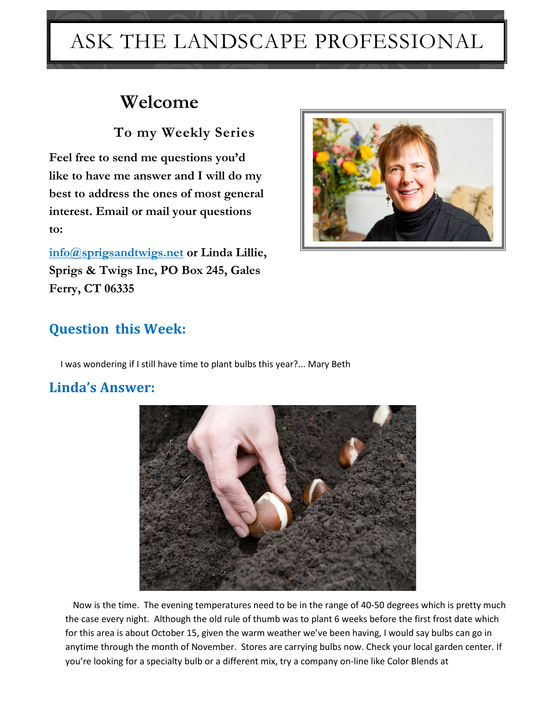## ASK THE LANDSCAPE PROFESSIONAL

## **Welcome**

 **To my Weekly Series**

**Feel free to send me questions you'd like to have me answer and I will do my best to address the ones of most general interest. Email or mail your questions to:**

**[info@sprigsandtwigs.net](mailto:info@sprigsandtwigs.net) or Linda Lillie, Sprigs & Twigs Inc, PO Box 245, Gales Ferry, CT 06335**



## **Question this Week:**

I was wondering if I still have time to plant bulbs this year?... Mary Beth

## **Linda's Answer:**



 Now is the time. The evening temperatures need to be in the range of 40-50 degrees which is pretty much the case every night. Although the old rule of thumb was to plant 6 weeks before the first frost date which for this area is about October 15, given the warm weather we've been having, I would say bulbs can go in anytime through the month of November. Stores are carrying bulbs now. Check your local garden center. If you're looking for a specialty bulb or a different mix, try a company on-line like Color Blends at